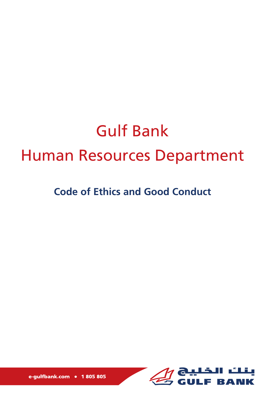# Gulf Bank Human Resources Department

# **Code of Ethics and Good Conduct**



e-gulfbank.com . 1805 805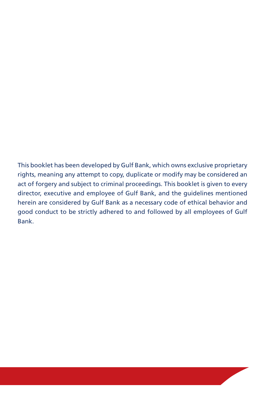This booklet has been developed by Gulf Bank, which owns exclusive proprietary rights, meaning any attempt to copy, duplicate or modify may be considered an act of forgery and subject to criminal proceedings. This booklet is given to every director, executive and employee of Gulf Bank, and the guidelines mentioned herein are considered by Gulf Bank as a necessary code of ethical behavior and good conduct to be strictly adhered to and followed by all employees of Gulf Bank.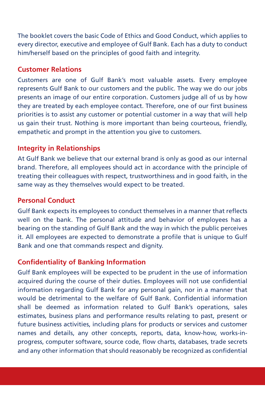The booklet covers the basic Code of Ethics and Good Conduct, which applies to every director, executive and employee of Gulf Bank. Each has a duty to conduct him/herself based on the principles of good faith and integrity.

#### **Customer Relations**

Customers are one of Gulf Bank's most valuable assets. Every employee represents Gulf Bank to our customers and the public. The way we do our jobs presents an image of our entire corporation. Customers judge all of us by how they are treated by each employee contact. Therefore, one of our first business priorities is to assist any customer or potential customer in a way that will help us gain their trust. Nothing is more important than being courteous, friendly, empathetic and prompt in the attention you give to customers.

## **Integrity in Relationships**

At Gulf Bank we believe that our external brand is only as good as our internal brand. Therefore, all employees should act in accordance with the principle of treating their colleagues with respect, trustworthiness and in good faith, in the same way as they themselves would expect to be treated.

#### **Personal Conduct**

Gulf Bank expects its employees to conduct themselves in a manner that reflects well on the bank. The personal attitude and behavior of employees has a bearing on the standing of Gulf Bank and the way in which the public perceives it. All employees are expected to demonstrate a profile that is unique to Gulf Bank and one that commands respect and dignity.

#### **Confidentiality of Banking Information**

Gulf Bank employees will be expected to be prudent in the use of information acquired during the course of their duties. Employees will not use confidential information regarding Gulf Bank for any personal gain, nor in a manner that would be detrimental to the welfare of Gulf Bank. Confidential information shall be deemed as information related to Gulf Bank's operations, sales estimates, business plans and performance results relating to past, present or future business activities, including plans for products or services and customer names and details, any other concepts, reports, data, know-how, works-inprogress, computer software, source code, flow charts, databases, trade secrets and any other information that should reasonably be recognized as confidential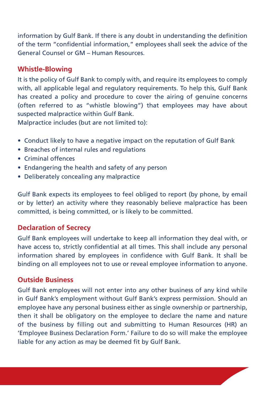information by Gulf Bank. If there is any doubt in understanding the definition of the term "confidential information," employees shall seek the advice of the General Counsel or GM – Human Resources.

#### **Whistle-Blowing**

It is the policy of Gulf Bank to comply with, and require its employees to comply with, all applicable legal and regulatory requirements. To help this, Gulf Bank has created a policy and procedure to cover the airing of genuine concerns (often referred to as "whistle blowing") that employees may have about suspected malpractice within Gulf Bank.

Malpractice includes (but are not limited to):

- Conduct likely to have a negative impact on the reputation of Gulf Bank
- Breaches of internal rules and regulations
- Criminal offences
- Endangering the health and safety of any person
- Deliberately concealing any malpractice

Gulf Bank expects its employees to feel obliged to report (by phone, by email or by letter) an activity where they reasonably believe malpractice has been committed, is being committed, or is likely to be committed.

## **Declaration of Secrecy**

Gulf Bank employees will undertake to keep all information they deal with, or have access to, strictly confidential at all times. This shall include any personal information shared by employees in confidence with Gulf Bank. It shall be binding on all employees not to use or reveal employee information to anyone.

#### **Outside Business**

Gulf Bank employees will not enter into any other business of any kind while in Gulf Bank's employment without Gulf Bank's express permission. Should an employee have any personal business either as single ownership or partnership, then it shall be obligatory on the employee to declare the name and nature of the business by filling out and submitting to Human Resources (HR) an 'Employee Business Declaration Form.' Failure to do so will make the employee liable for any action as may be deemed fit by Gulf Bank.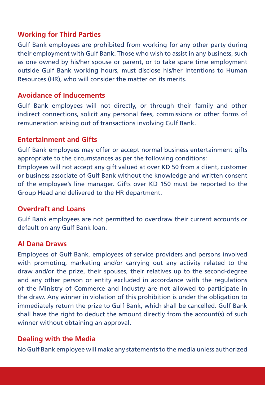#### **Working for Third Parties**

Gulf Bank employees are prohibited from working for any other party during their employment with Gulf Bank. Those who wish to assist in any business, such as one owned by his/her spouse or parent, or to take spare time employment outside Gulf Bank working hours, must disclose his/her intentions to Human Resources (HR), who will consider the matter on its merits.

#### **Avoidance of Inducements**

Gulf Bank employees will not directly, or through their family and other indirect connections, solicit any personal fees, commissions or other forms of remuneration arising out of transactions involving Gulf Bank.

#### **Entertainment and Gifts**

Gulf Bank employees may offer or accept normal business entertainment gifts appropriate to the circumstances as per the following conditions:

Employees will not accept any gift valued at over KD 50 from a client, customer or business associate of Gulf Bank without the knowledge and written consent of the employee's line manager. Gifts over KD 150 must be reported to the Group Head and delivered to the HR department.

#### **Overdraft and Loans**

Gulf Bank employees are not permitted to overdraw their current accounts or default on any Gulf Bank loan.

#### **Al Dana Draws**

Employees of Gulf Bank, employees of service providers and persons involved with promoting, marketing and/or carrying out any activity related to the draw and/or the prize, their spouses, their relatives up to the second-degree and any other person or entity excluded in accordance with the regulations of the Ministry of Commerce and Industry are not allowed to participate in the draw. Any winner in violation of this prohibition is under the obligation to immediately return the prize to Gulf Bank, which shall be cancelled. Gulf Bank shall have the right to deduct the amount directly from the account(s) of such winner without obtaining an approval.

#### **Dealing with the Media**

No Gulf Bank employee will make any statements to the media unless authorized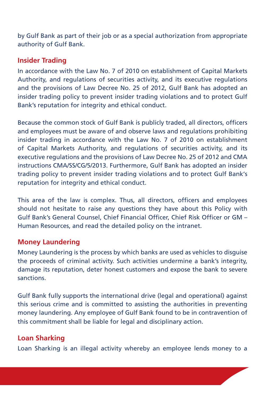by Gulf Bank as part of their job or as a special authorization from appropriate authority of Gulf Bank.

#### **Insider Trading**

In accordance with the Law No. 7 of 2010 on establishment of Capital Markets Authority, and regulations of securities activity, and its executive regulations and the provisions of Law Decree No. 25 of 2012, Gulf Bank has adopted an insider trading policy to prevent insider trading violations and to protect Gulf Bank's reputation for integrity and ethical conduct.

Because the common stock of Gulf Bank is publicly traded, all directors, officers and employees must be aware of and observe laws and regulations prohibiting insider trading in accordance with the Law No. 7 of 2010 on establishment of Capital Markets Authority, and regulations of securities activity, and its executive regulations and the provisions of Law Decree No. 25 of 2012 and CMA instructions CMA/SS/CG/5/2013. Furthermore, Gulf Bank has adopted an insider trading policy to prevent insider trading violations and to protect Gulf Bank's reputation for integrity and ethical conduct.

This area of the law is complex. Thus, all directors, officers and employees should not hesitate to raise any questions they have about this Policy with Gulf Bank's General Counsel, Chief Financial Officer, Chief Risk Officer or GM – Human Resources, and read the detailed policy on the intranet.

#### **Money Laundering**

Money Laundering is the process by which banks are used as vehicles to disguise the proceeds of criminal activity. Such activities undermine a bank's integrity, damage its reputation, deter honest customers and expose the bank to severe sanctions.

Gulf Bank fully supports the international drive (legal and operational) against this serious crime and is committed to assisting the authorities in preventing money laundering. Any employee of Gulf Bank found to be in contravention of this commitment shall be liable for legal and disciplinary action.

#### **Loan Sharking**

Loan Sharking is an illegal activity whereby an employee lends money to a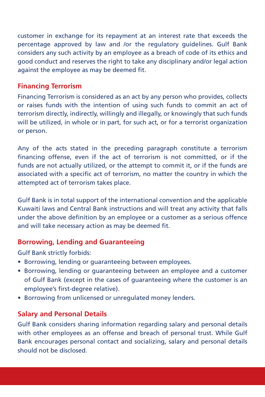customer in exchange for its repayment at an interest rate that exceeds the percentage approved by law and /or the regulatory guidelines. Gulf Bank considers any such activity by an employee as a breach of code of its ethics and good conduct and reserves the right to take any disciplinary and/or legal action against the employee as may be deemed fit.

#### **Financing Terrorism**

Financing Terrorism is considered as an act by any person who provides, collects or raises funds with the intention of using such funds to commit an act of terrorism directly, indirectly, willingly and illegally, or knowingly that such funds will be utilized, in whole or in part, for such act, or for a terrorist organization or person.

Any of the acts stated in the preceding paragraph constitute a terrorism financing offense, even if the act of terrorism is not committed, or if the funds are not actually utilized, or the attempt to commit it, or if the funds are associated with a specific act of terrorism, no matter the country in which the attempted act of terrorism takes place.

Gulf Bank is in total support of the international convention and the applicable Kuwaiti laws and Central Bank instructions and will treat any activity that falls under the above definition by an employee or a customer as a serious offence and will take necessary action as may be deemed fit.

#### **Borrowing, Lending and Guaranteeing**

Gulf Bank strictly forbids:

- Borrowing, lending or guaranteeing between employees.
- Borrowing, lending or guaranteeing between an employee and a customer of Gulf Bank (except in the cases of guaranteeing where the customer is an employee's first-degree relative).
- Borrowing from unlicensed or unregulated money lenders.

#### **Salary and Personal Details**

Gulf Bank considers sharing information regarding salary and personal details with other employees as an offense and breach of personal trust. While Gulf Bank encourages personal contact and socializing, salary and personal details should not be disclosed.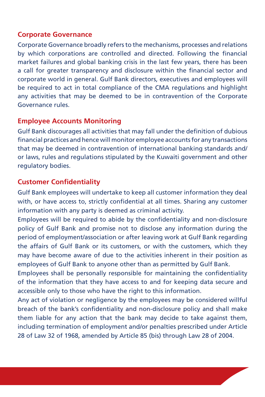#### **Corporate Governance**

Corporate Governance broadly refers to the mechanisms, processes and relations by which corporations are controlled and directed. Following the financial market failures and global banking crisis in the last few years, there has been a call for greater transparency and disclosure within the financial sector and corporate world in general. Gulf Bank directors, executives and employees will be required to act in total compliance of the CMA regulations and highlight any activities that may be deemed to be in contravention of the Corporate Governance rules.

#### **Employee Accounts Monitoring**

Gulf Bank discourages all activities that may fall under the definition of dubious financial practices and hence will monitor employee accounts for any transactions that may be deemed in contravention of international banking standards and/ or laws, rules and regulations stipulated by the Kuwaiti government and other regulatory bodies.

#### **Customer Confidentiality**

Gulf Bank employees will undertake to keep all customer information they deal with, or have access to, strictly confidential at all times. Sharing any customer information with any party is deemed as criminal activity.

Employees will be required to abide by the confidentiality and non-disclosure policy of Gulf Bank and promise not to disclose any information during the period of employment/association or after leaving work at Gulf Bank regarding the affairs of Gulf Bank or its customers, or with the customers, which they may have become aware of due to the activities inherent in their position as employees of Gulf Bank to anyone other than as permitted by Gulf Bank.

Employees shall be personally responsible for maintaining the confidentiality of the information that they have access to and for keeping data secure and accessible only to those who have the right to this information.

Any act of violation or negligence by the employees may be considered willful breach of the bank's confidentiality and non-disclosure policy and shall make them liable for any action that the bank may decide to take against them, including termination of employment and/or penalties prescribed under Article 28 of Law 32 of 1968, amended by Article 85 (bis) through Law 28 of 2004.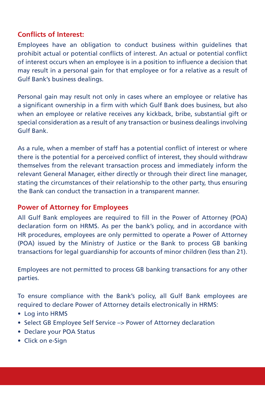#### **Conflicts of Interest:**

Employees have an obligation to conduct business within guidelines that prohibit actual or potential conflicts of interest. An actual or potential conflict of interest occurs when an employee is in a position to influence a decision that may result in a personal gain for that employee or for a relative as a result of Gulf Bank's business dealings.

Personal gain may result not only in cases where an employee or relative has a significant ownership in a firm with which Gulf Bank does business, but also when an employee or relative receives any kickback, bribe, substantial gift or special consideration as a result of any transaction or business dealings involving Gulf Bank.

As a rule, when a member of staff has a potential conflict of interest or where there is the potential for a perceived conflict of interest, they should withdraw themselves from the relevant transaction process and immediately inform the relevant General Manager, either directly or through their direct line manager, stating the circumstances of their relationship to the other party, thus ensuring the Bank can conduct the transaction in a transparent manner.

#### **Power of Attorney for Employees**

All Gulf Bank employees are required to fill in the Power of Attorney (POA) declaration form on HRMS. As per the bank's policy, and in accordance with HR procedures, employees are only permitted to operate a Power of Attorney (POA) issued by the Ministry of Justice or the Bank to process GB banking transactions for legal guardianship for accounts of minor children (less than 21).

Employees are not permitted to process GB banking transactions for any other parties.

To ensure compliance with the Bank's policy, all Gulf Bank employees are required to declare Power of Attorney details electronically in HRMS:

- Log into HRMS
- Select GB Employee Self Service –> Power of Attorney declaration
- Declare your POA Status
- Click on e-Sign